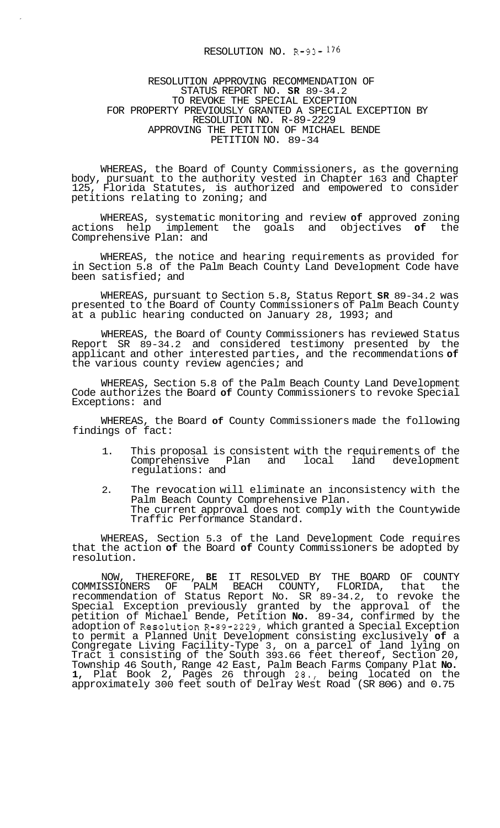## RESOLUTION NO. R-93- 176

## RESOLUTION APPROVING RECOMMENDATION OF STATUS REPORT NO. **SR** 89-34.2 TO REVOKE THE SPECIAL EXCEPTION RESOLUTION NO. R-89-2229 APPROVING THE PETITION OF MICHAEL BENDE PETITION NO. 89-34 FOR PROPERTY PREVIOUSLY GRANTED A SPECIAL EXCEPTION BY

WHEREAS, the Board of County Commissioners, as the governing body, pursuant to the authority vested in Chapter 163 and Chapter 125, Florida Statutes, is authorized and empowered to consider petitions relating to zoning; and

WHEREAS, systematic monitoring and review **of** approved zoning actions help implement the goals and objectives of Comprehensive Plan: and

WHEREAS, the notice and hearing requirements as provided for in Section 5.8 of the Palm Beach County Land Development Code have been satisfied; and

WHEREAS, pursuant to Section 5.8, Status Report **SR** 89-34.2 was presented to the Board of County Commissioners of Palm Beach County at a public hearing conducted on January 28, 1993; and

WHEREAS, the Board of County Commissioners has reviewed Status Report SR 89-34.2 and considered testimony presented by the applicant and other interested parties, and the recommendations **of**  the various county review agencies; and

WHEREAS, Section 5.8 of the Palm Beach County Land Development Code authorizes the Board **of** County Commissioners to revoke Special Exceptions: and

WHEREAS, the Board **of** County Commissioners made the following findings of fact:

- 1. This proposal is consistent with the requirements of the<br>Comprehensive Plan and local land development Comprehensive Plan and local regulations: and
- 2. The revocation will eliminate an inconsistency with the Palm Beach County Comprehensive Plan. The current approval does not comply with the Countywide Traffic Performance Standard.

WHEREAS, Section 5.3 of the Land Development Code requires that the action **of** the Board **of** County Commissioners be adopted by resolution.

NOW, THEREFORE, **BE** IT RESOLVED BY THE BOARD OF COUNTY PALM BEACH COUNTY, FLORIDA, that recommendation of Status Report No. SR 89-34.2, to revoke the Special Exception previously granted by the approval of the petition of Michael Bende, Petition **No.** 89-34, confirmed by the adoption of Resolution R-89-2229, which granted a Special Exception to permit a Planned Unit Development consisting exclusively **of** a Congregate Living Facility-Type 3, on a parcel of land lying on Tract 1 consisting of the South 393.66 feet thereof, Section 20, Township 46 South, Range 42 East, Palm Beach Farms Company Plat **No. 1,** Plat Book 2, Pages 26 through 28., being located on the approximately 300 feet south of Delray West Road (SR 806) and 0.75